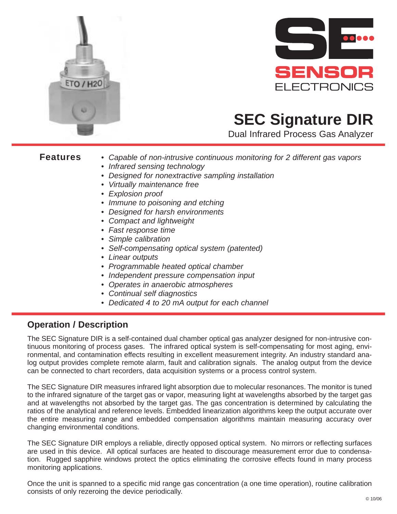



## **SEC Signature DIR**

Dual Infrared Process Gas Analyzer

- **Features** Capable of non-intrusive continuous monitoring for 2 different gas vapors
	- Infrared sensing technology
	- Designed for nonextractive sampling installation
	- Virtually maintenance free
	- Explosion proof
	- Immune to poisoning and etching
	- Designed for harsh environments
	- Compact and lightweight
	- Fast response time
	- Simple calibration
	- Self-compensating optical system (patented)
	- Linear outputs
	- Programmable heated optical chamber
	- Independent pressure compensation input
	- Operates in anaerobic atmospheres
	- Continual self diagnostics
	- Dedicated 4 to 20 mA output for each channel

## **Operation / Description**

The SEC Signature DIR is a self-contained dual chamber optical gas analyzer designed for non-intrusive continuous monitoring of process gases. The infrared optical system is self-compensating for most aging, environmental, and contamination effects resulting in excellent measurement integrity. An industry standard analog output provides complete remote alarm, fault and calibration signals. The analog output from the device can be connected to chart recorders, data acquisition systems or a process control system.

The SEC Signature DIR measures infrared light absorption due to molecular resonances. The monitor is tuned to the infrared signature of the target gas or vapor, measuring light at wavelengths absorbed by the target gas and at wavelengths not absorbed by the target gas. The gas concentration is determined by calculating the ratios of the analytical and reference levels. Embedded linearization algorithms keep the output accurate over the entire measuring range and embedded compensation algorithms maintain measuring accuracy over changing environmental conditions.

The SEC Signature DIR employs a reliable, directly opposed optical system. No mirrors or reflecting surfaces are used in this device. All optical surfaces are heated to discourage measurement error due to condensation. Rugged sapphire windows protect the optics eliminating the corrosive effects found in many process monitoring applications.

Once the unit is spanned to a specific mid range gas concentration (a one time operation), routine calibration consists of only rezeroing the device periodically.